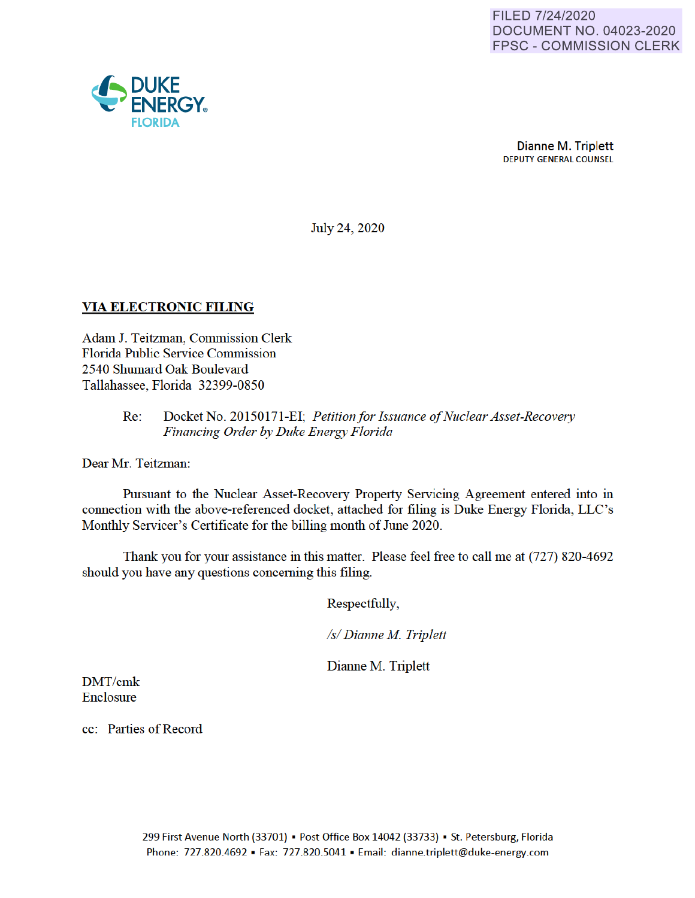

July 24, 2020

## **VIA ELECTRONIC FILING**

Adam J. Teitzman, Commission Clerk Florida Public Service Commission 2540 Shumard Oak Boulevard Tallahassee, Florida 32399-0850

> Re: Docket No. 20150171-EI· *Petition for Issuance of Nuclear Asset-Recovery Financing Order by Duke Energy Florida*

Dear Mr. Teitzman:

Pursuant to the Nuclear Asset-Recovery Property Servicing Agreement entered into in connection with the above-referenced docket, attached for filing is Duke Energy Florida, LLC's Monthly Servicer's Certificate for the billing month of June 2020.

Thank you for your assistance in this matter. Please feel free to call me at (727) 820-4692 should you have any questions concerning this filing.

Respectfully,

*Isl Dianne M Triplett* 

Dianne M. Triplett

DMT/cmk Enclosure

cc: Parties of Record

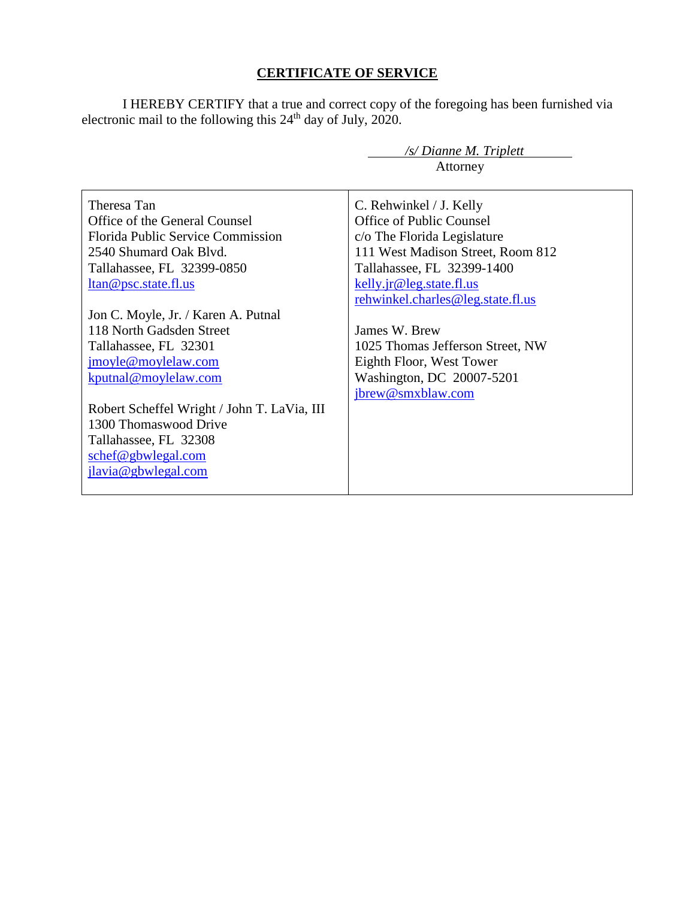## **CERTIFICATE OF SERVICE**

I HEREBY CERTIFY that a true and correct copy of the foregoing has been furnished via electronic mail to the following this  $24<sup>th</sup>$  day of July, 2020.

| /s/ Dianne M. Triplett                      |                                   |  |
|---------------------------------------------|-----------------------------------|--|
|                                             | Attorney                          |  |
|                                             |                                   |  |
| Theresa Tan                                 | C. Rehwinkel / J. Kelly           |  |
| Office of the General Counsel               | Office of Public Counsel          |  |
| <b>Florida Public Service Commission</b>    | c/o The Florida Legislature       |  |
| 2540 Shumard Oak Blvd.                      | 111 West Madison Street, Room 812 |  |
| Tallahassee, FL 32399-0850                  | Tallahassee, FL 32399-1400        |  |
| ltan@psc.state.fl.us                        | kelly.jr@leg.state.fl.us          |  |
|                                             | rehwinkel.charles@leg.state.fl.us |  |
| Jon C. Moyle, Jr. / Karen A. Putnal         |                                   |  |
| 118 North Gadsden Street                    | James W. Brew                     |  |
| Tallahassee, FL 32301                       | 1025 Thomas Jefferson Street, NW  |  |
| jmoyle@moylelaw.com                         | Eighth Floor, West Tower          |  |
| kputnal@moylelaw.com                        | Washington, DC 20007-5201         |  |
|                                             | jbrew@smxblaw.com                 |  |
| Robert Scheffel Wright / John T. LaVia, III |                                   |  |
| 1300 Thomaswood Drive                       |                                   |  |
| Tallahassee, FL 32308                       |                                   |  |
| schef@gbwlegal.com                          |                                   |  |
| jlavia@gbwlegal.com                         |                                   |  |
|                                             |                                   |  |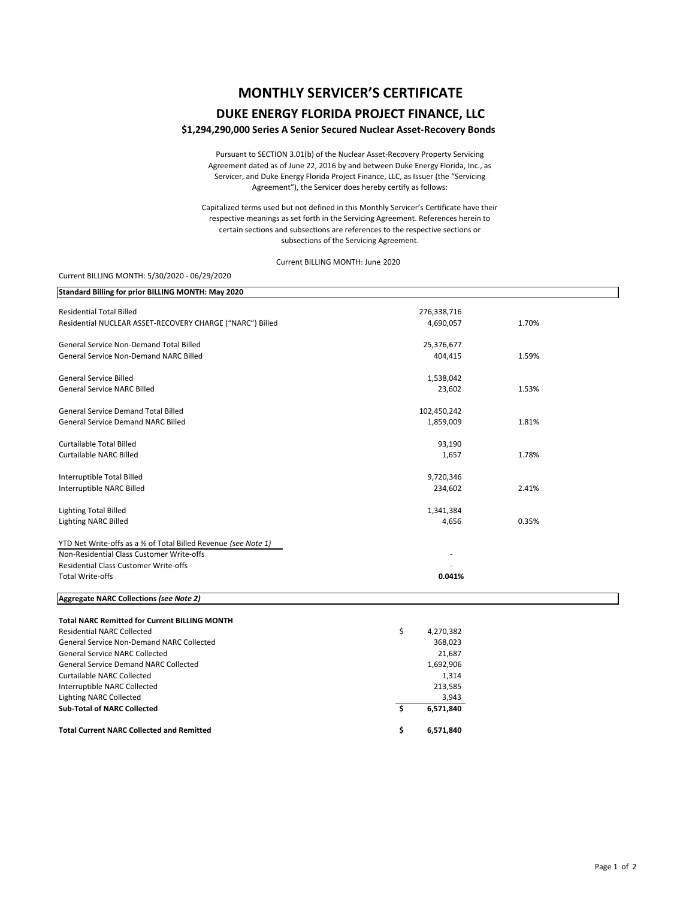# **MONTHLY SERVICER'S CERTIFICATE**

### **DUKE ENERGY FLORIDA PROJECT FINANCE, LLC**

#### **\$1,294,290,000 Series A Senior Secured Nuclear Asset‐Recovery Bonds**

Pursuant to SECTION 3.01(b) of the Nuclear Asset‐Recovery Property Servicing Agreement dated as of June 22, 2016 by and between Duke Energy Florida, Inc., as Servicer, and Duke Energy Florida Project Finance, LLC, as Issuer (the "Servicing Agreement"), the Servicer does hereby certify as follows:

Capitalized terms used but not defined in this Monthly Servicer's Certificate have their respective meanings as set forth in the Servicing Agreement. References herein to certain sections and subsections are references to the respective sections or subsections of the Servicing Agreement.

Current BILLING MONTH: June 2020

#### Current BILLING MONTH: 5/30/2020 ‐ 06/29/2020

| Standard Billing for prior BILLING MONTH: May 2020             |                 |       |
|----------------------------------------------------------------|-----------------|-------|
| <b>Residential Total Billed</b>                                | 276,338,716     |       |
| Residential NUCLEAR ASSET-RECOVERY CHARGE ("NARC") Billed      | 4,690,057       | 1.70% |
| General Service Non-Demand Total Billed                        | 25,376,677      |       |
| <b>General Service Non-Demand NARC Billed</b>                  | 404,415         | 1.59% |
| <b>General Service Billed</b>                                  | 1,538,042       |       |
| <b>General Service NARC Billed</b>                             | 23,602          | 1.53% |
| General Service Demand Total Billed                            | 102,450,242     |       |
| <b>General Service Demand NARC Billed</b>                      | 1,859,009       | 1.81% |
| Curtailable Total Billed                                       | 93,190          |       |
| Curtailable NARC Billed                                        | 1,657           | 1.78% |
| Interruptible Total Billed                                     | 9,720,346       |       |
| Interruptible NARC Billed                                      | 234,602         | 2.41% |
| <b>Lighting Total Billed</b>                                   | 1,341,384       |       |
| Lighting NARC Billed                                           | 4,656           | 0.35% |
| YTD Net Write-offs as a % of Total Billed Revenue (see Note 1) |                 |       |
| Non-Residential Class Customer Write-offs                      |                 |       |
| Residential Class Customer Write-offs                          |                 |       |
| <b>Total Write-offs</b>                                        | 0.041%          |       |
| Aggregate NARC Collections (see Note 2)                        |                 |       |
| <b>Total NARC Remitted for Current BILLING MONTH</b>           |                 |       |
| <b>Residential NARC Collected</b>                              | \$<br>4,270,382 |       |
| <b>General Service Non-Demand NARC Collected</b>               | 368,023         |       |
| <b>General Service NARC Collected</b>                          | 21,687          |       |
| <b>General Service Demand NARC Collected</b>                   | 1,692,906       |       |
| <b>Curtailable NARC Collected</b>                              | 1,314           |       |
| Interruptible NARC Collected                                   | 213,585         |       |
| <b>Lighting NARC Collected</b>                                 | 3,943           |       |
| <b>Sub-Total of NARC Collected</b>                             | \$<br>6,571,840 |       |
| <b>Total Current NARC Collected and Remitted</b>               | \$<br>6,571,840 |       |